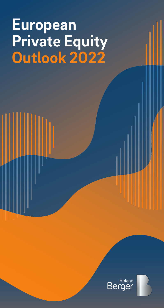# **European Private Equity Outlook 2022**



Ш

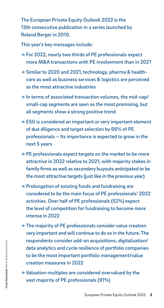The European Private Equity Outlook 2022 is the 13th consecutive publication in a series launched by Roland Berger in 2010.

This year's key messages include:

- → For 2022, nearly two thirds of PE professionals expect more M&A transactions with PE involvement than in 2021
- → Similar to 2020 and 2021, technology, pharma & healthcare as well as business services & logistics are perceived as the most attractive industries
- $\rightarrow$  In terms of associated transaction volumes, the mid-cap/ small-cap segments are seen as the most promising, but all segments show a strong positive trend
- → ESG is considered an important or very important element of due diligence and target selection by 66% of PE professionals – Its importance is expected to grow in the next 5 years
- $\rightarrow$  PE professionals expect targets on the market to be more attractive in 2022 relative to 2021, with majority stakes in family firms as well as secondary buyouts anticipated to be the most attractive targets (just like in the previous year)
- $\rightarrow$  Prolongation of existing funds and fundraising are considered to be the main focus of PE professionals' 2022 activities. Over half of PE professionals (52%) expect the level of competition for fundraising to become more intense in 2022
- $\rightarrow$  The majority of PE professionals consider value creation very important and will continue to do so in the future. The respondents consider add-on acquisitions, digitalization/ data analytics and cycle resilience of portfolio companies to be the most important portfolio management/value creation measures in 2022
- $\rightarrow$  Valuation multiples are considered overvalued by the vast majority of PE professionals (91%)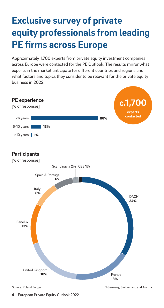# **Exclusive survey of private equity professionals from leading PE firms across Europe**

Approximately 1,700 experts from private equity investment companies across Europe were contacted for the PE Outlook. The results mirror what experts in the market anticipate for different countries and regions and what factors and topics they consider to be relevant for the private equity business in 2022.



4 European Private Equity Outlook 2022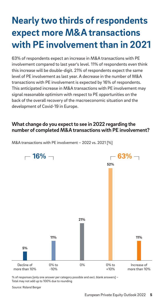### **Nearly two thirds of respondents expect more M&A transactions with PE involvement than in 2021**

63% of respondents expect an increase in M&A transactions with PE involvement compared to last year's level. 11% of respondents even think this increase will be double-digit. 21% of respondents expect the same level of PE involvement as last year. A decrease in the number of M&A transactions with PE involvement is expected by 16% of respondents. This anticipated increase in M&A transactions with PE involvement may signal reasonable optimism with respect to PE opportunities on the back of the overall recovery of the macroeconomic situation and the development of Covid-19 in Europe.

#### **What change do you expect to see in 2022 regarding the number of completed M&A transactions with PE involvement?**



M&A transactions with PE involvement – 2022 vs. 2021 [%]

% of responses [only one answer per category possible and excl. blank answers] – Total may not add up to 100% due to rounding

Source: Roland Berger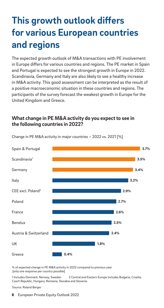## **This growth outlook differs for various European countries and regions**

The expected growth outlook of M&A transactions with PE involvement in Europe differs for various countries and regions. The PE market in Spain and Portugal is expected to see the strongest growth in Europe in 2022. Scandinavia, Germany and Italy are also likely to see a healthy increase in M&A activity. This good assessment can be interpreted as the result of a positive macroeconomic situation in these countries and regions. The participants of the survey forecast the weakest growth in Europe for the United Kingdom and Greece.

#### **What change in PE M&A activity do you expect to see in the following countries in 2022?**



Change in PE M&A activity in major countries – 2022 vs. 2021 [%]

% of expected change in PE M&A activity in 2022 compared to previous year [only one response per country possible]

1 Includes Denmark, Norway, Sweden 2 Central and Eastern Europe includes Bulgaria, Croatia, Czech Republic, Hungary, Romania, Slovakia and Slovenia

Source: Roland Berger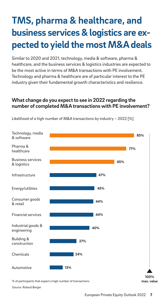# **TMS, pharma & healthcare, and business services & logistics are expected to yield the most M&A deals**

Similar to 2020 and 2021, technology, media & software, pharma & healthcare, and the business services & logistics industries are expected to be the most active in terms of M&A transactions with PE involvement. Technology and pharma & healthcare are of particular interest to the PE industry given their fundamental growth characteristics and resilience.

#### **What change do you expect to see in 2022 regarding the number of completed M&A transactions with PE involvement?**



Likelihood of a high number of M&A transactions by industry – 2022 [%]

% of participants that expect a high number of transactions Source: Roland Berger

**max. value**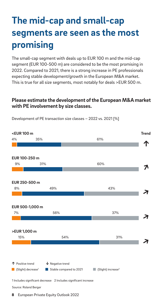## **The mid-cap and small-cap segments are seen as the most promising**

The small-cap segment with deals up to EUR 100 m and the mid-cap segment (EUR 100-500 m) are considered to be the most promising in 2022. Compared to 2021, there is a strong increase in PE professionals expecting stable development/growth in the European M&A market. This is true for all size segments, most notably for deals >EUR 500 m.

#### **Please estimate the development of the European M&A market with PE involvement by size classes.**



Development of PE transaction size classes – 2022 vs. 2021 [%]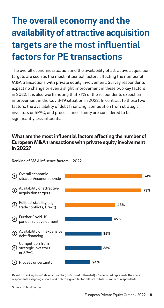### **The overall economy and the availability of attractive acquisition targets are the most influential factors for PE transactions**

The overall economic situation and the availability of attractive acquisition targets are seen as the most influential factors affecting the number of M&A transactions with private equity involvement. Survey respondents expect no change or even a slight improvement in these two key factors in 2022. It is also worth noting that 71% of the respondents expect an improvement in the Covid-19 situation in 2022. In contrast to these two factors, the availability of debt financing, competition from strategic investors or SPAC, and process uncertainty are considered to be significantly less influential.

#### **What are the most influential factors affecting the number of European M&A transactions with private equity involvement in 2022?**



Ranking of M&A influence factors – 2022

Based on ranking from 1 (least influential) to 5 (most influential) – % depicted represents the share of respondents assigning a score of 4 or 5 to a given factor relative to total number of respondents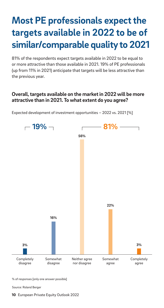# **Most PE professionals expect the targets available in 2022 to be of similar/comparable quality to 2021**

81% of the respondents expect targets available in 2022 to be equal to or more attractive than those available in 2021. 19% of PE professionals (up from 11% in 2021) anticipate that targets will be less attractive than the previous year.

#### **Overall, targets available on the market in 2022 will be more attractive than in 2021. To what extent do you agree?**



Expected development of investment opportunities – 2022 vs. 2021 [%]

% of responses [only one answer possible]

Source: Roland Berger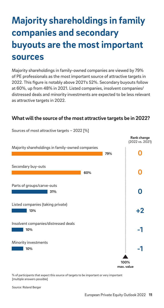### **Majority shareholdings in family companies and secondary buyouts are the most important sources**

Majority shareholdings in family-owned companies are viewed by 79% of PE professionals as the most important source of attractive targets in 2022. This figure is notably above 2021's 52%. Secondary buyouts follow at 60%, up from 48% in 2021. Listed companies, insolvent companies/ distressed deals and minority investments are expected to be less relevant as attractive targets in 2022.

#### **What will the source of the most attractive targets be in 2022?**

|                                                  |     |                    | Rank change<br>(2022 vs. 2021) |
|--------------------------------------------------|-----|--------------------|--------------------------------|
| Majority shareholdings in family-owned companies |     |                    |                                |
|                                                  |     | 79%                |                                |
|                                                  |     |                    |                                |
| Secondary buy-outs                               |     |                    |                                |
|                                                  | 60% |                    |                                |
|                                                  |     |                    |                                |
| Parts of groups/carve-outs                       |     |                    |                                |
| 31%                                              |     |                    |                                |
|                                                  |     |                    |                                |
| Listed companies (taking private)                |     |                    |                                |
| 13%                                              |     |                    | +2                             |
|                                                  |     |                    |                                |
| Insolvent companies/distressed deals             |     |                    |                                |
| 10%                                              |     |                    | -1                             |
|                                                  |     |                    |                                |
| Minority investments<br>10%                      |     |                    |                                |
|                                                  |     |                    |                                |
|                                                  |     |                    |                                |
|                                                  |     | 100%<br>max. value |                                |
|                                                  |     |                    |                                |

Sources of most attractive targets – 2022 [%]

% of participants that expect this source of targets to be important or very important [multiple answers possible]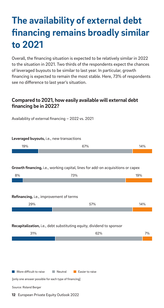### **The availability of external debt financing remains broadly similar to 2021**

Overall, the financing situation is expected to be relatively similar in 2022 to the situation in 2021. Two thirds of the respondents expect the chances of leveraged buyouts to be similar to last year. In particular, growth financing is expected to remain the most stable. Here, 73% of respondents see no difference to last year's situation.

#### **Compared to 2021, how easily available will external debt financing be in 2022?**

12 European Private Equity Outlook 2022 [only one answer possible for each type of financing] **Nore difficult to raise** Neutral **Easier to raise Leveraged buyouts,** i.e., new transactions **Growth financing,** i.e., working capital, lines for add-on acquisitions or capex **Refinancing,** i.e., improvement of terms **Recapitalization,** i.e., debt substituting equity, dividend to sponsor 19% 67% 14% 8% 73% 19% 29% 57% 14% 31% 62% 7% Source: Roland Berger

Availability of external financing – 2022 vs. 2021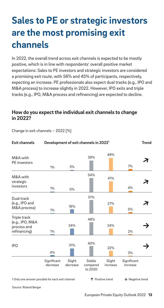### **Sales to PE or strategic investors are the most promising exit channels**

In 2022, the overall trend across exit channels is expected to be mostly positive, which is in line with respondents' overall positive market expectations: Sales to PE investors and strategic investors are considered a promising exit route, with 56% and 45% of participants, respectively, expecting an increase. PE professionals also expect dual tracks (e.g., IPO and M&A process) to increase slightly in 2022. However, IPO exits and triple tracks (e.g., IPO, M&A process and refinancing) are expected to decline.

#### **How do you expect the individual exit channels to change in 2022?**

Change in exit channels – 2022 [%]

| <b>Exit channels</b>                                           | Development of exit channels in 2022 <sup>1</sup> |                    |                                                   |                    | <b>Trend</b>                                              |  |
|----------------------------------------------------------------|---------------------------------------------------|--------------------|---------------------------------------------------|--------------------|-----------------------------------------------------------|--|
| M&A with<br>PE investors                                       | 1%                                                | 3%                 | 39%                                               | 49%                | 7%                                                        |  |
| M&A with<br>strategic<br>investors                             | 1%                                                | 0%                 | 54%                                               | 41%                | 4%                                                        |  |
| Dual track<br>(e.g., IPO and<br>M&A process)                   | 1%                                                | 16%                | 51%                                               | 27%                | 5%                                                        |  |
| Triple track<br>(e.g., IPO, M&A<br>process and<br>refinancing) | 1%                                                | 24%                | 48%                                               | 24%                | 2%                                                        |  |
| <b>IPO</b>                                                     | 4%                                                | 31%                | 40%                                               | 22%                | 3%                                                        |  |
|                                                                | Significant<br>decrease                           | Slight<br>decrease | Stable<br>compared<br>to 2020                     | Slight<br>increase | Significant<br>increase                                   |  |
| $\sim$ $\sim$ $\sim$                                           |                                                   |                    | $\bullet$ $\bullet$ $\bullet$ $\bullet$ $\bullet$ |                    | $\mathbf{I}$ and $\mathbf{I}$ are the set of $\mathbf{I}$ |  |

1 Only one answer possible for each exit channel

**<sup>→</sup>**Positive trend Negative trend **→**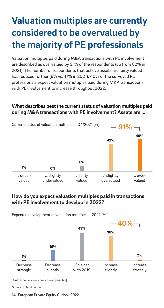# **Valuation multiples are currently considered to be overvalued by the majority of PE professionals**

Valuation multiples paid during M&A transactions with PE involvement are described as overvalued by 91% of the respondents (up from 82% in 2021). The number of respondents that believe assets are fairly valued has reduced further (8% vs. 17% in 2021). 40% of the surveyed PE professionals expect valuation multiples paid during M&A transactions with PE involvement to increase throughout 2022.

#### **What describes best the current status of valuation multiples paid during M&A transactions with PE involvement? Assets are …**



#### **How do you expect valuation multiples paid in transactions with PE involvement to develop in 2022?**





% of responses [only one answer possible]

Source: Roland Berger

14 European Private Equity Outlook 2022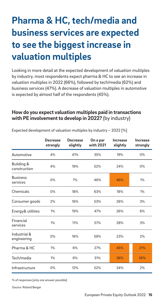## **Pharma & HC, tech/media and business services are expected to see the biggest increase in valuation multiples**

Looking in more detail at the expected development of valuation multiples by industry, most respondents expect pharma & HC to see an increase in valuation multiples in 2022 (66%), followed by tech/media (62%) and business services (47%). A decrease of valuation multiples in automotive is expected by almost half of the respondents (45%).

#### **How do you expect valuation multiples paid in transactions with PE involvement to develop in 2022?** (by industry)

|                             | <b>Decrease</b><br>strongly | <b>Decrease</b><br>slightly | On a par<br>with 2021 | <b>Increase</b><br>slightly | <b>Increase</b><br>strongly |  |
|-----------------------------|-----------------------------|-----------------------------|-----------------------|-----------------------------|-----------------------------|--|
| Automotive                  | 4%                          | 41%                         | 35%                   | 19%                         | $0\%$                       |  |
| Building &<br>construction  | 4%                          | 19%                         | 52%                   | 24%                         | $0\%$                       |  |
| <b>Business</b><br>services | 0%                          | 7%                          | 46%                   | 46%                         | 1%                          |  |
| Chemicals                   | 0%                          | 18%                         | 63%                   | 18%                         | 1%                          |  |
| Consumer goods              | 2%                          | 16%                         | 53%                   | 26%                         | 3%                          |  |
| Energy& utilities           | 1%                          | 19%                         | 47%                   | 26%                         | 6%                          |  |
| Financial<br>services       | 1%                          | 11%                         | 57%                   | 28%                         | 3%                          |  |
| Industrial &<br>engineering | 0%                          | 16%                         | 59%                   | 23%                         | 2%                          |  |
| Pharma & HC                 | 1%                          | 6%                          | 27%                   | 45%                         | 21%                         |  |
| Tech/media                  | 1%                          | 6%                          | 31%                   | 36%                         | 26%                         |  |
| Infrastructure              | 0%                          | 12%                         | 52%                   | 34%                         | 2%                          |  |

Expected development of valuation multiples by industry – 2022 [%]

% of responses [only one answer possible]

Source: Roland Berger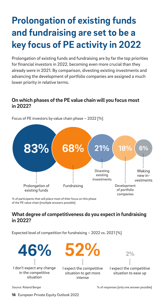# **Prolongation of existing funds and fundraising are set to be a key focus of PE activity in 2022**

Prolongation of existing funds and fundraising are by far the top priorities for financial investors in 2022, becoming even more crucial than they already were in 2021. By comparison, divesting existing investments and advancing the development of portfolio companies are assigned a much lower priority in relative terms.

#### **On which phases of the PE value chain will you focus most in 2022?**



Focus of PE investors by value chain phase – 2022 [%]

% of participants that will place most of their focus on this phase of the PE value chain [multiple answers possible]

#### **What degree of competitiveness do you expect in fundraising in 2022?**

Expected level of competition for fundraising – 2022 vs. 2021 [%]

I don't expect any change in the competitive situation



I expect the competitive situation to ease up

Source: Roland Berger

% of responses [only one answer possible]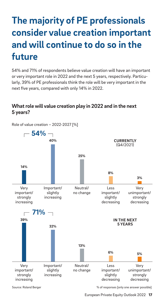# **The majority of PE professionals consider value creation important and will continue to do so in the future**

54% and 71% of respondents believe value creation will have an important or very important role in 2022 and the next 5 years, respectively. Particularly, 39% of PE professionals think the role will be very important in the next five years, compared with only 14% in 2022.

#### **What role will value creation play in 2022 and in the next 5 years?**

Role of value creation – 2022-2027 [%] Very important/ strongly increasing Very important/ strongly increasing Important/ slightly increasing Important/ slightly increasing Neutral/ no change Neutral/ no change Less important/ slightly decreasing Less important/ slightly decreasing Very unimportant/ strongly decreasing Very unimportant/ strongly decreasing **14% 39% 40% 32% 25% 13% 8% 6% 3% 5%**  $-$  54%  $\neg$  $-71%$   $-$ **IN THE NEXT 5 YEARS CURRENTLY**  (Q4/2021)

Source: Roland Berger

% of responses [only one answer possible]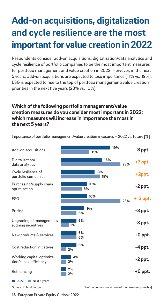# **Add-on acquisitions, digitalization and cycle resilience are the most important for value creation in 2022**

Respondents consider add-on acquisitions, digitalization/data analytics and cycle resilience of portfolio companies to be the most important measures for portfolio management and value creation in 2022. However, in the next 5 years, add-on acquisitions are expected to lose importance (11% vs. 19%). ESG is expected to rise to the top of portfolio management/value creation priorities in the next five years (23% vs. 10%).

#### **Which of the following portfolio management/value creation measures do you consider most important in 2022; which measures will increase in importance the most in the next 5 years?**

Add-on acquisitions **19% 11% -8 ppt.** Purchasing/supply chain optimization **10% 8% -2 ppt.** Upgrading of management/ aligning incentives **6% 3% -3 ppt.** Digitalization/ data analytics **16% 23% +7 ppt.** ESG **10% 23% +13 ppt.** New products & services **6% 6% +0 ppt.** Working capital optimization/capex efficiency **4% 2% -2 ppt.** Cycle resilience of portfolio companies **13% 15% +2ppt.** Pricing **9% 6% -3 ppt.** Cost reduction initiatives **6% 2% -4 ppt.** Refinancing **2% 2% +0 ppt.** 2022 Next 5 years Source: Roland Berger example and the state of the Source: Roland Berger and the Source: Roland Berger and the S

Importance of portfolio management/value creation measures – 2022 vs. future [%]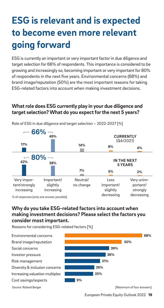## **ESG is relevant and is expected to become even more relevant going forward**

ESG is currently an important or very important factor in due diligence and target selection for 66% of respondents. This importance is considered to be growing and increasingly so, becoming important or very important for 80% of respondents in the next five years. Environmental concerns (68%) and brand image/reputation (50%) are the most important reasons for taking ESG-related factors into account when making investment decisions.

#### **What role does ESG currently play in your due diligence and target selection? What do you expect for the next 5 years?**



Role of ESG in due diligence and target selection – 2022-2027 [%]

% of responses [only one answer possible]

Reasons for considering ESG-related factors [%]

#### **Why do you take ESG-related factors into account when making investment decisions? Please select the factors you consider most important.**

Environmental concerns **68%** Brand image/reputation **50%** Social concerns **39%** Investor pressure **36%**

Risk management **31%**

Diversity & inclusion concerns **26%**

Increasing valuation multiples **25%**

Cost savings/aspects **9%**

Source: Roland Berger

[Maximum of four answers]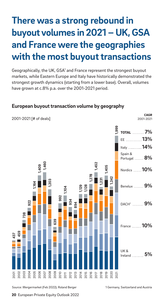## **There was a strong rebound in buyout volumes in 2021 – UK, GSA and France were the geographies with the most buyout transactions**

Geographically, the UK, GSA<sup>1</sup> and France represent the strongest buyout markets, while Eastern Europe and Italy have historically demonstrated the strongest growth dynamics (starting from a lower base). Overall, volumes have grown at c.8% p.a. over the 2001-2021 period.

#### **European buyout transaction volume by geography**



Source: Mergermarket (Feb 2022); Roland Berger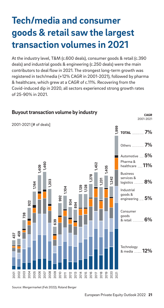### **Tech/media and consumer goods & retail saw the largest transaction volumes in 2021**

At the industry level, T&M (c.600 deals), consumer goods & retail (c.390 deals) and industrial goods & engineering (c.250 deals) were the main contributors to deal flow in 2021. The strongest long-term growth was registered in tech/media (+12% CAGR in 2001-2021), followed by pharma & healthcare, which grew at a CAGR of c.11%. Recovering from the Covid-induced dip in 2020, all sectors experienced strong growth rates of 25-90% in 2021.



Source: Mergermarket (Feb 2022); Roland Berger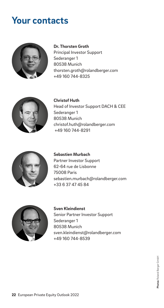### **Your contacts**



**Dr. Thorsten Groth** Principal Investor Support Sederanger 1 80538 Munich thorsten.groth@rolandberger.com +49 160 744-8325



**Christof Huth** Head of Investor Support DACH & CEE Sederanger 1 80538 Munich christof.huth@rolandberger.com +49 160 744-8291



**Sebastien Murbach** Partner Investor Support 62-64 rue de Lisbonne 75008 Paris sebastien.murbach@rolandberger.com +33 6 37 47 45 84



**Sven Kleindienst** Senior Partner Investor Support Sederanger 1 80538 Munich sven.kleindienst@rolandberger.com +49 160 744-8539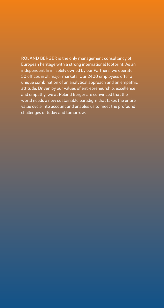ROLAND BERGER is the only management consultancy of European heritage with a strong international footprint. As an independent firm, solely owned by our Partners, we operate 50 offices in all major markets. Our 2400 employees offer a unique combination of an analytical approach and an empathic attitude. Driven by our values of entrepreneurship, excellence and empathy, we at Roland Berger are convinced that the world needs a new sustainable paradigm that takes the entire value cycle into account and enables us to meet the profound challenges of today and tomorrow.